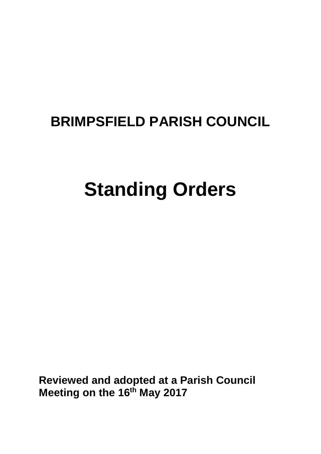# **BRIMPSFIELD PARISH COUNCIL**

# **Standing Orders**

**Reviewed and adopted at a Parish Council Meeting on the 16th May 2017**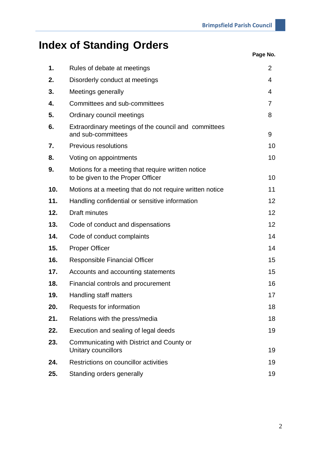# **Index of Standing Orders**

| Page No. |  |
|----------|--|
|----------|--|

| 1.  | Rules of debate at meetings                                                            | $\overline{2}$  |
|-----|----------------------------------------------------------------------------------------|-----------------|
| 2.  | Disorderly conduct at meetings                                                         | 4               |
| 3.  | Meetings generally                                                                     | 4               |
| 4.  | Committees and sub-committees                                                          | 7               |
| 5.  | Ordinary council meetings                                                              | 8               |
| 6.  | Extraordinary meetings of the council and committees<br>and sub-committees             | 9               |
| 7.  | Previous resolutions                                                                   | 10              |
| 8.  | Voting on appointments                                                                 | 10              |
| 9.  | Motions for a meeting that require written notice<br>to be given to the Proper Officer | 10              |
| 10. | Motions at a meeting that do not require written notice                                | 11              |
| 11. | Handling confidential or sensitive information                                         | 12              |
| 12. | <b>Draft minutes</b>                                                                   | 12 <sup>2</sup> |
| 13. | Code of conduct and dispensations                                                      | 12              |
| 14. | Code of conduct complaints                                                             | 14              |
| 15. | <b>Proper Officer</b>                                                                  | 14              |
| 16. | <b>Responsible Financial Officer</b>                                                   | 15              |
| 17. | Accounts and accounting statements                                                     | 15              |
| 18. | Financial controls and procurement                                                     | 16              |
| 19. | Handling staff matters                                                                 | 17              |
| 20. | Requests for information                                                               | 18              |
| 21. | Relations with the press/media                                                         | 18              |
| 22. | Execution and sealing of legal deeds                                                   | 19              |
| 23. | Communicating with District and County or<br>Unitary councillors                       | 19              |
| 24. | Restrictions on councillor activities                                                  | 19              |
| 25. | Standing orders generally                                                              | 19              |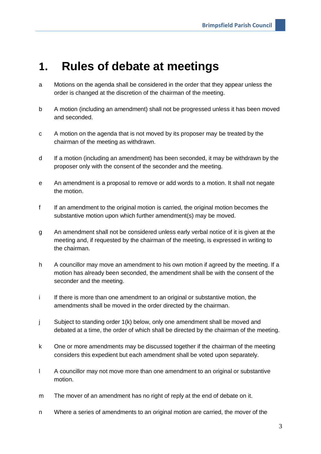#### **1. Rules of debate at meetings**

- a Motions on the agenda shall be considered in the order that they appear unless the order is changed at the discretion of the chairman of the meeting.
- b A motion (including an amendment) shall not be progressed unless it has been moved and seconded.
- c A motion on the agenda that is not moved by its proposer may be treated by the chairman of the meeting as withdrawn.
- d If a motion (including an amendment) has been seconded, it may be withdrawn by the proposer only with the consent of the seconder and the meeting.
- e An amendment is a proposal to remove or add words to a motion. It shall not negate the motion.
- f If an amendment to the original motion is carried, the original motion becomes the substantive motion upon which further amendment(s) may be moved.
- g An amendment shall not be considered unless early verbal notice of it is given at the meeting and, if requested by the chairman of the meeting, is expressed in writing to the chairman.
- h A councillor may move an amendment to his own motion if agreed by the meeting. If a motion has already been seconded, the amendment shall be with the consent of the seconder and the meeting.
- i If there is more than one amendment to an original or substantive motion, the amendments shall be moved in the order directed by the chairman.
- j Subject to standing order 1(k) below, only one amendment shall be moved and debated at a time, the order of which shall be directed by the chairman of the meeting.
- k One or more amendments may be discussed together if the chairman of the meeting considers this expedient but each amendment shall be voted upon separately.
- l A councillor may not move more than one amendment to an original or substantive motion.
- m The mover of an amendment has no right of reply at the end of debate on it.
- n Where a series of amendments to an original motion are carried, the mover of the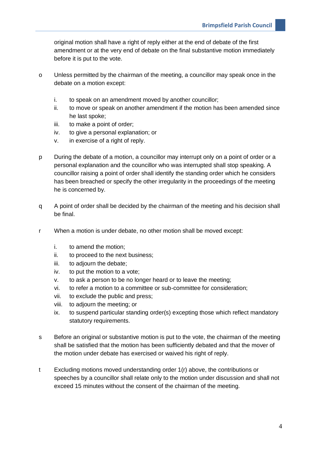original motion shall have a right of reply either at the end of debate of the first amendment or at the very end of debate on the final substantive motion immediately before it is put to the vote.

- o Unless permitted by the chairman of the meeting, a councillor may speak once in the debate on a motion except:
	- i. to speak on an amendment moved by another councillor;
	- ii. to move or speak on another amendment if the motion has been amended since he last spoke;
	- iii. to make a point of order;
	- iv. to give a personal explanation; or
	- v. in exercise of a right of reply.
- p During the debate of a motion, a councillor may interrupt only on a point of order or a personal explanation and the councillor who was interrupted shall stop speaking. A councillor raising a point of order shall identify the standing order which he considers has been breached or specify the other irregularity in the proceedings of the meeting he is concerned by.
- q A point of order shall be decided by the chairman of the meeting and his decision shall be final.
- r When a motion is under debate, no other motion shall be moved except:
	- i. to amend the motion;
	- ii. to proceed to the next business;
	- iii. to adjourn the debate;
	- iv. to put the motion to a vote;
	- v. to ask a person to be no longer heard or to leave the meeting;
	- vi. to refer a motion to a committee or sub-committee for consideration;
	- vii. to exclude the public and press;
	- viii. to adjourn the meeting; or
	- ix. to suspend particular standing order(s) excepting those which reflect mandatory statutory requirements.
- s Before an original or substantive motion is put to the vote, the chairman of the meeting shall be satisfied that the motion has been sufficiently debated and that the mover of the motion under debate has exercised or waived his right of reply.
- t Excluding motions moved understanding order 1(r) above, the contributions or speeches by a councillor shall relate only to the motion under discussion and shall not exceed 15 minutes without the consent of the chairman of the meeting.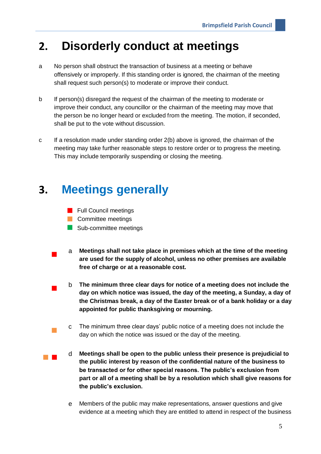#### **2. Disorderly conduct at meetings**

- a No person shall obstruct the transaction of business at a meeting or behave offensively or improperly. If this standing order is ignored, the chairman of the meeting shall request such person(s) to moderate or improve their conduct.
- b If person(s) disregard the request of the chairman of the meeting to moderate or improve their conduct, any councillor or the chairman of the meeting may move that the person be no longer heard or excluded from the meeting. The motion, if seconded, shall be put to the vote without discussion.
- c If a resolution made under standing order 2(b) above is ignored, the chairman of the meeting may take further reasonable steps to restore order or to progress the meeting. This may include temporarily suspending or closing the meeting.

#### **3. Meetings generally**

- **Full Council meetings**
- **Committee meetings**
- Sub-committee meetings
- <sup>a</sup> **Meetings shall not take place in premises which at the time of the meeting are used for the supply of alcohol, unless no other premises are available free of charge or at a reasonable cost.** 
	- <sup>b</sup> **The minimum three clear days for notice of a meeting does not include the day on which notice was issued, the day of the meeting, a Sunday, a day of the Christmas break, a day of the Easter break or of a bank holiday or a day appointed for public thanksgiving or mourning.**
	- <sup>c</sup> The minimum three clear days' public notice of a meeting does not include the day on which the notice was issued or the day of the meeting.
- <sup>d</sup> **Meetings shall be open to the public unless their presence is prejudicial to the public interest by reason of the confidential nature of the business to be transacted or for other special reasons. The public's exclusion from part or all of a meeting shall be by a resolution which shall give reasons for the public's exclusion.**
	- e Members of the public may make representations, answer questions and give evidence at a meeting which they are entitled to attend in respect of the business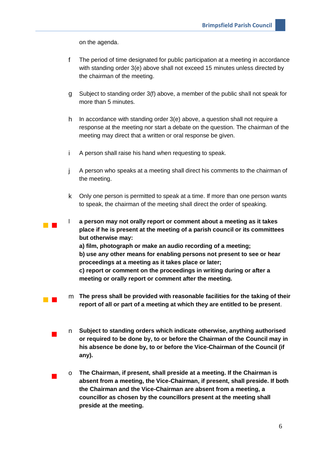on the agenda.

 $\mathcal{O}(\mathbb{R}^d)$ 

- f The period of time designated for public participation at a meeting in accordance with standing order 3(e) above shall not exceed 15 minutes unless directed by the chairman of the meeting.
- g Subject to standing order 3(f) above, a member of the public shall not speak for more than 5 minutes.
- h In accordance with standing order 3(e) above, a question shall not require a response at the meeting nor start a debate on the question. The chairman of the meeting may direct that a written or oral response be given.
- i A person shall raise his hand when requesting to speak.
- j A person who speaks at a meeting shall direct his comments to the chairman of the meeting.
- k Only one person is permitted to speak at a time. If more than one person wants to speak, the chairman of the meeting shall direct the order of speaking.
- l **a person may not orally report or comment about a meeting as it takes place if he is present at the meeting of a parish council or its committees but otherwise may:**
	- **a) film, photograph or make an audio recording of a meeting; b) use any other means for enabling persons not present to see or hear proceedings at a meeting as it takes place or later;**

**c) report or comment on the proceedings in writing during or after a meeting or orally report or comment after the meeting.**

- <sup>m</sup> **The press shall be provided with reasonable facilities for the taking of their report of all or part of a meeting at which they are entitled to be present**.
- <sup>n</sup> **Subject to standing orders which indicate otherwise, anything authorised or required to be done by, to or before the Chairman of the Council may in his absence be done by, to or before the Vice-Chairman of the Council (if any).**
- <sup>o</sup> **The Chairman, if present, shall preside at a meeting. If the Chairman is absent from a meeting, the Vice-Chairman, if present, shall preside. If both the Chairman and the Vice-Chairman are absent from a meeting, a councillor as chosen by the councillors present at the meeting shall preside at the meeting.**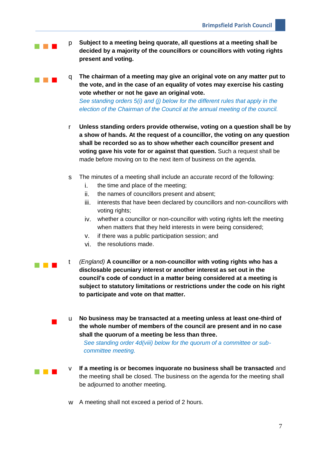**p Subject to a meeting being quorate, all questions at a meeting shall be decided by a majority of the councillors or councillors with voting rights present and voting.**

**The chairman of a meeting may give an original vote on any matter put to the vote, and in the case of an equality of votes may exercise his casting vote whether or not he gave an original vote.** *See standing orders 5(i) and (j) below for the different rules that apply in the election of the Chairman of the Council at the annual meeting of the council.*

- r **Unless standing orders provide otherwise, voting on a question shall be by a show of hands. At the request of a councillor, the voting on any question shall be recorded so as to show whether each councillor present and voting gave his vote for or against that question.** Such a request shall be made before moving on to the next item of business on the agenda.
- s The minutes of a meeting shall include an accurate record of the following:
	- i. the time and place of the meeting;
	- ii. the names of councillors present and absent;
	- iii. interests that have been declared by councillors and non-councillors with voting rights;
	- iv. whether a councillor or non-councillor with voting rights left the meeting when matters that they held interests in were being considered;
	- v. if there was a public participation session; and
	- vi. the resolutions made.
- **t** *(England)* A councillor or a non-councillor with voting rights who has a **disclosable pecuniary interest or another interest as set out in the council's code of conduct in a matter being considered at a meeting is subject to statutory limitations or restrictions under the code on his right to participate and vote on that matter.**
	- <sup>u</sup> **No business may be transacted at a meeting unless at least one-third of the whole number of members of the council are present and in no case shall the quorum of a meeting be less than three.**

*See standing order 4d(viii) below for the quorum of a committee or subcommittee meeting.* 

- 
- **IF A ME A MEET A MEET A MEET A MEET A MEET A MEET A MEET A MEET A MEET AND INCOLLED IN A MEET A MEET AND THE IN** the meeting shall be closed. The business on the agenda for the meeting shall be adjourned to another meeting.
	- w A meeting shall not exceed a period of 2 hours.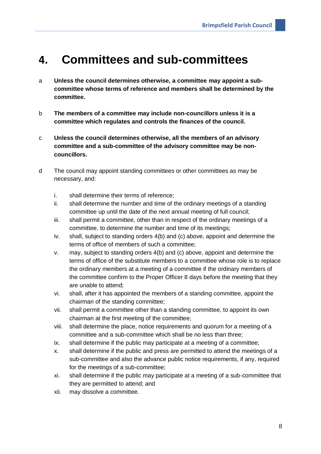#### **4. Committees and sub-committees**

- a **Unless the council determines otherwise, a committee may appoint a subcommittee whose terms of reference and members shall be determined by the committee.**
- b **The members of a committee may include non-councillors unless it is a committee which regulates and controls the finances of the council.**
- c **Unless the council determines otherwise, all the members of an advisory committee and a sub-committee of the advisory committee may be noncouncillors.**
- d The council may appoint standing committees or other committees as may be necessary, and:
	- i. shall determine their terms of reference;
	- ii. shall determine the number and time of the ordinary meetings of a standing committee up until the date of the next annual meeting of full council;
	- iii. shall permit a committee, other than in respect of the ordinary meetings of a committee, to determine the number and time of its meetings;
	- iv. shall, subject to standing orders 4(b) and (c) above, appoint and determine the terms of office of members of such a committee;
	- v. may, subject to standing orders 4(b) and (c) above, appoint and determine the terms of office of the substitute members to a committee whose role is to replace the ordinary members at a meeting of a committee if the ordinary members of the committee confirm to the Proper Officer 8 days before the meeting that they are unable to attend;
	- vi. shall, after it has appointed the members of a standing committee, appoint the chairman of the standing committee;
	- vii. shall permit a committee other than a standing committee, to appoint its own chairman at the first meeting of the committee;
	- viii. shall determine the place, notice requirements and quorum for a meeting of a committee and a sub-committee which shall be no less than three;
	- ix. shall determine if the public may participate at a meeting of a committee;
	- x. shall determine if the public and press are permitted to attend the meetings of a sub-committee and also the advance public notice requirements, if any, required for the meetings of a sub-committee;
	- xi. shall determine if the public may participate at a meeting of a sub-committee that they are permitted to attend; and
	- xii. may dissolve a committee.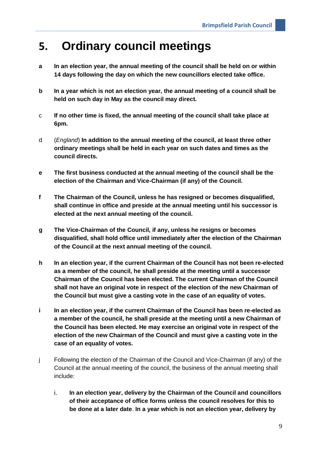#### **5. Ordinary council meetings**

- **a In an election year, the annual meeting of the council shall be held on or within 14 days following the day on which the new councillors elected take office.**
- **b In a year which is not an election year, the annual meeting of a council shall be held on such day in May as the council may direct.**
- c **If no other time is fixed, the annual meeting of the council shall take place at 6pm.**
- d (*England*) **In addition to the annual meeting of the council, at least three other ordinary meetings shall be held in each year on such dates and times as the council directs.**
- **e The first business conducted at the annual meeting of the council shall be the election of the Chairman and Vice-Chairman (if any) of the Council.**
- **f The Chairman of the Council, unless he has resigned or becomes disqualified, shall continue in office and preside at the annual meeting until his successor is elected at the next annual meeting of the council.**
- **g The Vice-Chairman of the Council, if any, unless he resigns or becomes disqualified, shall hold office until immediately after the election of the Chairman of the Council at the next annual meeting of the council.**
- **h In an election year, if the current Chairman of the Council has not been re-elected as a member of the council, he shall preside at the meeting until a successor Chairman of the Council has been elected. The current Chairman of the Council shall not have an original vote in respect of the election of the new Chairman of the Council but must give a casting vote in the case of an equality of votes.**
- **i In an election year, if the current Chairman of the Council has been re-elected as a member of the council, he shall preside at the meeting until a new Chairman of the Council has been elected. He may exercise an original vote in respect of the election of the new Chairman of the Council and must give a casting vote in the case of an equality of votes.**
- j Following the election of the Chairman of the Council and Vice-Chairman (if any) of the Council at the annual meeting of the council, the business of the annual meeting shall include:
	- i. **In an election year, delivery by the Chairman of the Council and councillors of their acceptance of office forms unless the council resolves for this to be done at a later date**. **In a year which is not an election year, delivery by**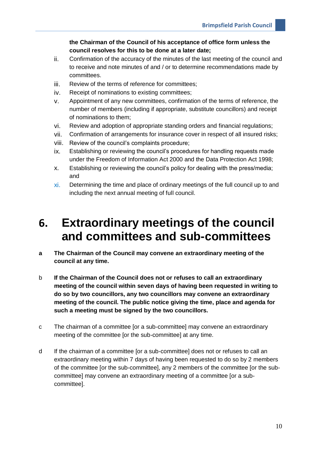**the Chairman of the Council of his acceptance of office form unless the council resolves for this to be done at a later date;**

- ii. Confirmation of the accuracy of the minutes of the last meeting of the council and to receive and note minutes of and / or to determine recommendations made by committees.
- iii. Review of the terms of reference for committees;
- iv. Receipt of nominations to existing committees;
- v. Appointment of any new committees, confirmation of the terms of reference, the number of members (including if appropriate, substitute councillors) and receipt of nominations to them;
- vi. Review and adoption of appropriate standing orders and financial regulations;
- vii. Confirmation of arrangements for insurance cover in respect of all insured risks;
- viii. Review of the council's complaints procedure;
- ix. Establishing or reviewing the council's procedures for handling requests made under the Freedom of Information Act 2000 and the Data Protection Act 1998;
- x. Establishing or reviewing the council's policy for dealing with the press/media; and
- xi. Determining the time and place of ordinary meetings of the full council up to and including the next annual meeting of full council.

#### **6. Extraordinary meetings of the council and committees and sub-committees**

- **a The Chairman of the Council may convene an extraordinary meeting of the council at any time.**
- b **If the Chairman of the Council does not or refuses to call an extraordinary meeting of the council within seven days of having been requested in writing to do so by two councillors, any two councillors may convene an extraordinary meeting of the council. The public notice giving the time, place and agenda for such a meeting must be signed by the two councillors.**
- c The chairman of a committee [or a sub-committee] may convene an extraordinary meeting of the committee [or the sub-committee] at any time.
- d If the chairman of a committee [or a sub-committee] does not or refuses to call an extraordinary meeting within 7 days of having been requested to do so by 2 members of the committee [or the sub-committee], any 2 members of the committee [or the subcommittee] may convene an extraordinary meeting of a committee [or a subcommittee].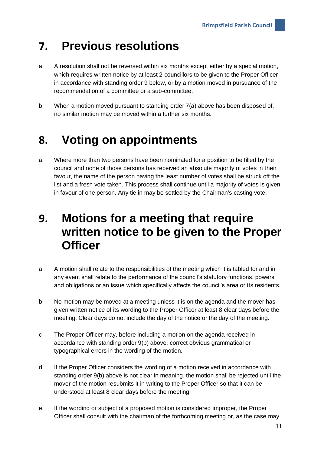#### **7. Previous resolutions**

- a A resolution shall not be reversed within six months except either by a special motion, which requires written notice by at least 2 councillors to be given to the Proper Officer in accordance with standing order 9 below, or by a motion moved in pursuance of the recommendation of a committee or a sub-committee.
- b When a motion moved pursuant to standing order 7(a) above has been disposed of, no similar motion may be moved within a further six months.

### **8. Voting on appointments**

a Where more than two persons have been nominated for a position to be filled by the council and none of those persons has received an absolute majority of votes in their favour, the name of the person having the least number of votes shall be struck off the list and a fresh vote taken. This process shall continue until a majority of votes is given in favour of one person. Any tie in may be settled by the Chairman's casting vote.

### **9. Motions for a meeting that require written notice to be given to the Proper Officer**

- a A motion shall relate to the responsibilities of the meeting which it is tabled for and in any event shall relate to the performance of the council's statutory functions, powers and obligations or an issue which specifically affects the council's area or its residents.
- b No motion may be moved at a meeting unless it is on the agenda and the mover has given written notice of its wording to the Proper Officer at least 8 clear days before the meeting. Clear days do not include the day of the notice or the day of the meeting.
- c The Proper Officer may, before including a motion on the agenda received in accordance with standing order 9(b) above, correct obvious grammatical or typographical errors in the wording of the motion.
- d If the Proper Officer considers the wording of a motion received in accordance with standing order 9(b) above is not clear in meaning, the motion shall be rejected until the mover of the motion resubmits it in writing to the Proper Officer so that it can be understood at least 8 clear days before the meeting.
- e If the wording or subject of a proposed motion is considered improper, the Proper Officer shall consult with the chairman of the forthcoming meeting or, as the case may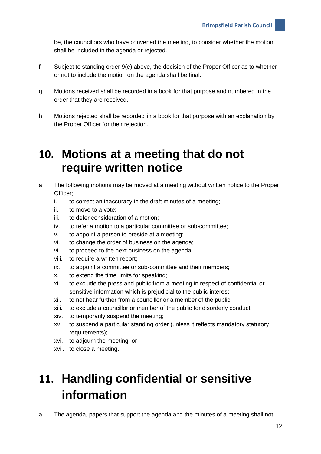be, the councillors who have convened the meeting, to consider whether the motion shall be included in the agenda or rejected.

- f Subject to standing order 9(e) above, the decision of the Proper Officer as to whether or not to include the motion on the agenda shall be final.
- g Motions received shall be recorded in a book for that purpose and numbered in the order that they are received.
- h Motions rejected shall be recorded in a book for that purpose with an explanation by the Proper Officer for their rejection.

#### **10. Motions at a meeting that do not require written notice**

- a The following motions may be moved at a meeting without written notice to the Proper Officer;
	- i. to correct an inaccuracy in the draft minutes of a meeting;
	- ii. to move to a vote;
	- iii. to defer consideration of a motion;
	- iv. to refer a motion to a particular committee or sub-committee;
	- v. to appoint a person to preside at a meeting;
	- vi. to change the order of business on the agenda;
	- vii. to proceed to the next business on the agenda;
	- viii. to require a written report;
	- ix. to appoint a committee or sub-committee and their members;
	- x. to extend the time limits for speaking;
	- xi. to exclude the press and public from a meeting in respect of confidential or sensitive information which is prejudicial to the public interest;
	- xii. to not hear further from a councillor or a member of the public;
	- xiii. to exclude a councillor or member of the public for disorderly conduct;
	- xiv. to temporarily suspend the meeting;
	- xv. to suspend a particular standing order (unless it reflects mandatory statutory requirements);
	- xvi. to adjourn the meeting; or
	- xvii. to close a meeting.

# **11. Handling confidential or sensitive information**

a The agenda, papers that support the agenda and the minutes of a meeting shall not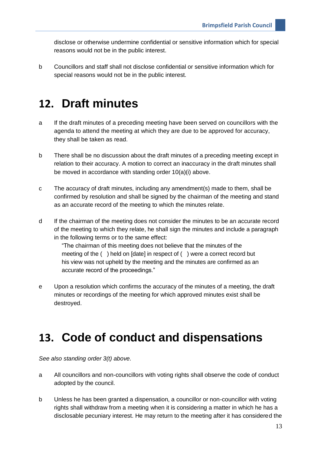disclose or otherwise undermine confidential or sensitive information which for special reasons would not be in the public interest.

b Councillors and staff shall not disclose confidential or sensitive information which for special reasons would not be in the public interest.

#### **12. Draft minutes**

- a If the draft minutes of a preceding meeting have been served on councillors with the agenda to attend the meeting at which they are due to be approved for accuracy, they shall be taken as read.
- b There shall be no discussion about the draft minutes of a preceding meeting except in relation to their accuracy. A motion to correct an inaccuracy in the draft minutes shall be moved in accordance with standing order 10(a)(i) above.
- c The accuracy of draft minutes, including any amendment(s) made to them, shall be confirmed by resolution and shall be signed by the chairman of the meeting and stand as an accurate record of the meeting to which the minutes relate.
- d If the chairman of the meeting does not consider the minutes to be an accurate record of the meeting to which they relate, he shall sign the minutes and include a paragraph in the following terms or to the same effect:

"The chairman of this meeting does not believe that the minutes of the meeting of the ( ) held on [date] in respect of ( ) were a correct record but his view was not upheld by the meeting and the minutes are confirmed as an accurate record of the proceedings."

e Upon a resolution which confirms the accuracy of the minutes of a meeting, the draft minutes or recordings of the meeting for which approved minutes exist shall be destroyed.

#### **13. Code of conduct and dispensations**

*See also standing order 3(t) above.* 

- a All councillors and non-councillors with voting rights shall observe the code of conduct adopted by the council.
- b Unless he has been granted a dispensation, a councillor or non-councillor with voting rights shall withdraw from a meeting when it is considering a matter in which he has a disclosable pecuniary interest. He may return to the meeting after it has considered the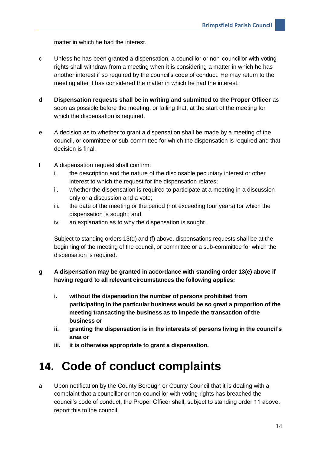matter in which he had the interest.

- c Unless he has been granted a dispensation, a councillor or non-councillor with voting rights shall withdraw from a meeting when it is considering a matter in which he has another interest if so required by the council's code of conduct. He may return to the meeting after it has considered the matter in which he had the interest.
- d **Dispensation requests shall be in writing and submitted to the Proper Officer** as soon as possible before the meeting, or failing that, at the start of the meeting for which the dispensation is required.
- e A decision as to whether to grant a dispensation shall be made by a meeting of the council, or committee or sub-committee for which the dispensation is required and that decision is final.
- f A dispensation request shall confirm:
	- i. the description and the nature of the disclosable pecuniary interest or other interest to which the request for the dispensation relates;
	- ii. whether the dispensation is required to participate at a meeting in a discussion only or a discussion and a vote;
	- iii. the date of the meeting or the period (not exceeding four years) for which the dispensation is sought; and
	- iv. an explanation as to why the dispensation is sought.

Subject to standing orders 13(d) and (f) above, dispensations requests shall be at the beginning of the meeting of the council, or committee or a sub-committee for which the dispensation is required.

#### **g A dispensation may be granted in accordance with standing order 13(e) above if having regard to all relevant circumstances the following applies:**

- **i. without the dispensation the number of persons prohibited from participating in the particular business would be so great a proportion of the meeting transacting the business as to impede the transaction of the business or**
- **ii. granting the dispensation is in the interests of persons living in the council's area or**
- **iii. it is otherwise appropriate to grant a dispensation.**

### **14. Code of conduct complaints**

a Upon notification by the County Borough or County Council that it is dealing with a complaint that a councillor or non-councillor with voting rights has breached the council's code of conduct, the Proper Officer shall, subject to standing order 11 above, report this to the council.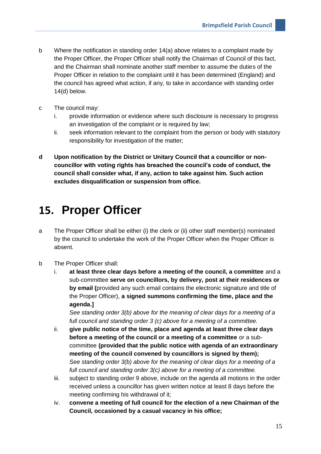- b Where the notification in standing order 14(a) above relates to a complaint made by the Proper Officer, the Proper Officer shall notify the Chairman of Council of this fact, and the Chairman shall nominate another staff member to assume the duties of the Proper Officer in relation to the complaint until it has been determined (England) and the council has agreed what action, if any, to take in accordance with standing order 14(d) below.
- c The council may:
	- i. provide information or evidence where such disclosure is necessary to progress an investigation of the complaint or is required by law;
	- ii. seek information relevant to the complaint from the person or body with statutory responsibility for investigation of the matter;
- **d Upon notification by the District or Unitary Council that a councillor or noncouncillor with voting rights has breached the council's code of conduct, the council shall consider what, if any, action to take against him. Such action excludes disqualification or suspension from office.**

#### **15. Proper Officer**

- a The Proper Officer shall be either (i) the clerk or (ii) other staff member(s) nominated by the council to undertake the work of the Proper Officer when the Proper Officer is absent.
- b The Proper Officer shall:
	- i. **at least three clear days before a meeting of the council, a committee** and a sub-committee **serve on councillors, by delivery, post at their residences or by email (**provided any such email contains the electronic signature and title of the Proper Officer), **a signed summons confirming the time, place and the agenda.]**

*See standing order 3(b) above for the meaning of clear days for a meeting of a full council and standing order 3 (c) above for a meeting of a committee.*

- ii. **give public notice of the time, place and agenda at least three clear days before a meeting of the council or a meeting of a committee** or a subcommittee **(provided that the public notice with agenda of an extraordinary meeting of the council convened by councillors is signed by them);** *See standing order 3(b) above for the meaning of clear days for a meeting of a full council and standing order 3(c) above for a meeting of a committee.*
- iii. subject to standing order 9 above, include on the agenda all motions in the order received unless a councillor has given written notice at least 8 days before the meeting confirming his withdrawal of it;
- iv. **convene a meeting of full council for the election of a new Chairman of the Council, occasioned by a casual vacancy in his office;**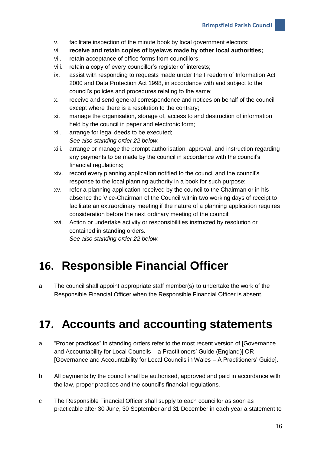- v. facilitate inspection of the minute book by local government electors;
- vi. **receive and retain copies of byelaws made by other local authorities;**
- vii. retain acceptance of office forms from councillors;
- viii. retain a copy of every councillor's register of interests;
- ix. assist with responding to requests made under the Freedom of Information Act 2000 and Data Protection Act 1998, in accordance with and subject to the council's policies and procedures relating to the same;
- x. receive and send general correspondence and notices on behalf of the council except where there is a resolution to the contrary;
- xi. manage the organisation, storage of, access to and destruction of information held by the council in paper and electronic form;
- xii. arrange for legal deeds to be executed; *See also standing order 22 below.*
- xiii. arrange or manage the prompt authorisation, approval, and instruction regarding any payments to be made by the council in accordance with the council's financial regulations;
- xiv. record every planning application notified to the council and the council's response to the local planning authority in a book for such purpose;
- xv. refer a planning application received by the council to the Chairman or in his absence the Vice-Chairman of the Council within two working days of receipt to facilitate an extraordinary meeting if the nature of a planning application requires consideration before the next ordinary meeting of the council;
- xvi. Action or undertake activity or responsibilities instructed by resolution or contained in standing orders. *See also standing order 22 below.*

## **16. Responsible Financial Officer**

a The council shall appoint appropriate staff member(s) to undertake the work of the Responsible Financial Officer when the Responsible Financial Officer is absent.

### **17. Accounts and accounting statements**

- a "Proper practices" in standing orders refer to the most recent version of [Governance and Accountability for Local Councils – a Practitioners' Guide (England)] OR [Governance and Accountability for Local Councils in Wales – A Practitioners' Guide].
- b All payments by the council shall be authorised, approved and paid in accordance with the law, proper practices and the council's financial regulations.
- c The Responsible Financial Officer shall supply to each councillor as soon as practicable after 30 June, 30 September and 31 December in each year a statement to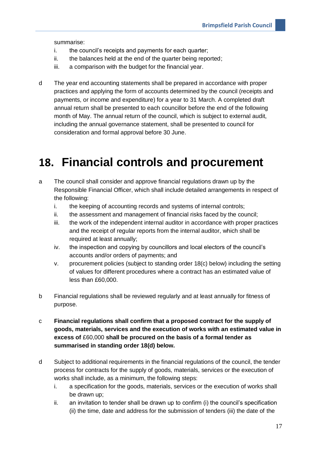summarise:

- i. the council's receipts and payments for each quarter;
- ii. the balances held at the end of the quarter being reported;
- iii. a comparison with the budget for the financial year.
- d The year end accounting statements shall be prepared in accordance with proper practices and applying the form of accounts determined by the council (receipts and payments, or income and expenditure) for a year to 31 March. A completed draft annual return shall be presented to each councillor before the end of the following month of May. The annual return of the council, which is subject to external audit, including the annual governance statement, shall be presented to council for consideration and formal approval before 30 June.

#### **18. Financial controls and procurement**

- a The council shall consider and approve financial regulations drawn up by the Responsible Financial Officer, which shall include detailed arrangements in respect of the following:
	- i. the keeping of accounting records and systems of internal controls;
	- ii. the assessment and management of financial risks faced by the council;
	- iii. the work of the independent internal auditor in accordance with proper practices and the receipt of regular reports from the internal auditor, which shall be required at least annually;
	- iv. the inspection and copying by councillors and local electors of the council's accounts and/or orders of payments; and
	- v. procurement policies (subject to standing order 18(c) below) including the setting of values for different procedures where a contract has an estimated value of less than £60,000.
- b Financial regulations shall be reviewed regularly and at least annually for fitness of purpose.
- c **Financial regulations shall confirm that a proposed contract for the supply of goods, materials, services and the execution of works with an estimated value in excess of** £60,000 **shall be procured on the basis of a formal tender as summarised in standing order 18(d) below.**
- d Subject to additional requirements in the financial regulations of the council, the tender process for contracts for the supply of goods, materials, services or the execution of works shall include, as a minimum, the following steps:
	- i. a specification for the goods, materials, services or the execution of works shall be drawn up;
	- ii. an invitation to tender shall be drawn up to confirm (i) the council's specification (ii) the time, date and address for the submission of tenders (iii) the date of the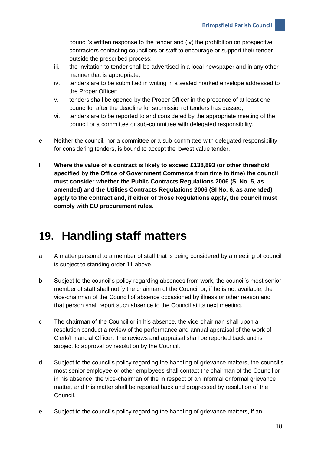council's written response to the tender and (iv) the prohibition on prospective contractors contacting councillors or staff to encourage or support their tender outside the prescribed process;

- iii. the invitation to tender shall be advertised in a local newspaper and in any other manner that is appropriate;
- iv. tenders are to be submitted in writing in a sealed marked envelope addressed to the Proper Officer;
- v. tenders shall be opened by the Proper Officer in the presence of at least one councillor after the deadline for submission of tenders has passed;
- vi. tenders are to be reported to and considered by the appropriate meeting of the council or a committee or sub-committee with delegated responsibility.
- e Neither the council, nor a committee or a sub-committee with delegated responsibility for considering tenders, is bound to accept the lowest value tender.
- f **Where the value of a contract is likely to exceed £138,893 (or other threshold specified by the Office of Government Commerce from time to time) the council must consider whether the Public Contracts Regulations 2006 (SI No. 5, as amended) and the Utilities Contracts Regulations 2006 (SI No. 6, as amended) apply to the contract and, if either of those Regulations apply, the council must comply with EU procurement rules.**

#### **19. Handling staff matters**

- a A matter personal to a member of staff that is being considered by a meeting of council is subject to standing order 11 above.
- b Subject to the council's policy regarding absences from work, the council's most senior member of staff shall notify the chairman of the Council or, if he is not available, the vice-chairman of the Council of absence occasioned by illness or other reason and that person shall report such absence to the Council at its next meeting.
- c The chairman of the Council or in his absence, the vice-chairman shall upon a resolution conduct a review of the performance and annual appraisal of the work of Clerk/Financial Officer. The reviews and appraisal shall be reported back and is subject to approval by resolution by the Council.
- d Subject to the council's policy regarding the handling of grievance matters, the council's most senior employee or other employees shall contact the chairman of the Council or in his absence, the vice-chairman of the in respect of an informal or formal grievance matter, and this matter shall be reported back and progressed by resolution of the Council.
- e Subject to the council's policy regarding the handling of grievance matters, if an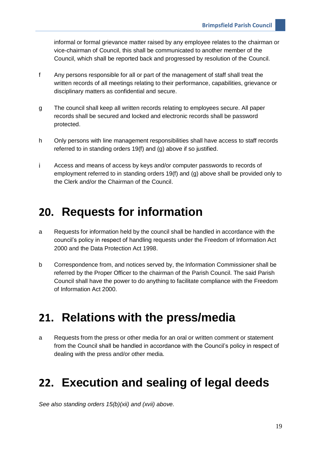informal or formal grievance matter raised by any employee relates to the chairman or vice-chairman of Council, this shall be communicated to another member of the Council, which shall be reported back and progressed by resolution of the Council.

- f Any persons responsible for all or part of the management of staff shall treat the written records of all meetings relating to their performance, capabilities, grievance or disciplinary matters as confidential and secure.
- g The council shall keep all written records relating to employees secure. All paper records shall be secured and locked and electronic records shall be password protected.
- h Only persons with line management responsibilities shall have access to staff records referred to in standing orders 19(f) and (g) above if so justified.
- i Access and means of access by keys and/or computer passwords to records of employment referred to in standing orders 19(f) and (g) above shall be provided only to the Clerk and/or the Chairman of the Council.

#### **20. Requests for information**

- a Requests for information held by the council shall be handled in accordance with the council's policy in respect of handling requests under the Freedom of Information Act 2000 and the Data Protection Act 1998.
- b Correspondence from, and notices served by, the Information Commissioner shall be referred by the Proper Officer to the chairman of the Parish Council. The said Parish Council shall have the power to do anything to facilitate compliance with the Freedom of Information Act 2000.

#### **21. Relations with the press/media**

a Requests from the press or other media for an oral or written comment or statement from the Council shall be handled in accordance with the Council's policy in respect of dealing with the press and/or other media.

### **22. Execution and sealing of legal deeds**

*See also standing orders 15(b)(xii) and (xvii) above.*